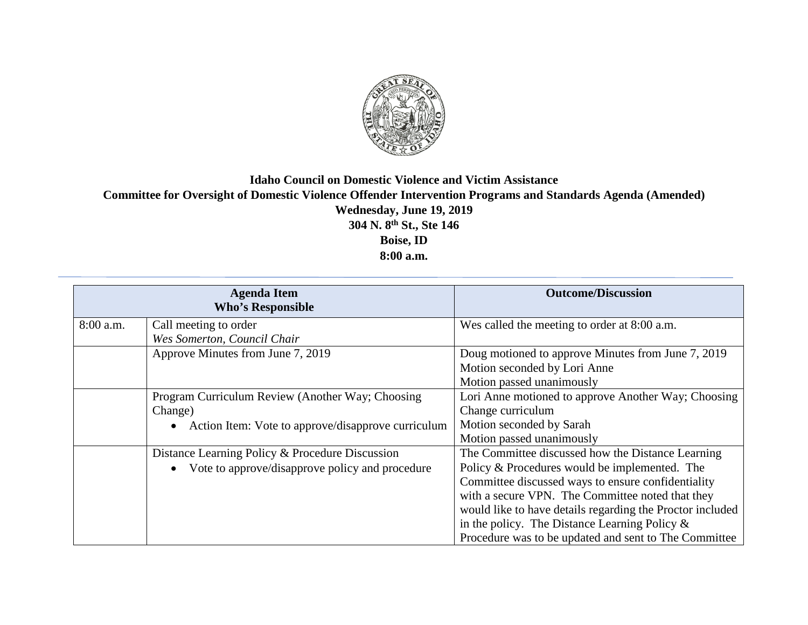

## **Idaho Council on Domestic Violence and Victim Assistance Committee for Oversight of Domestic Violence Offender Intervention Programs and Standards Agenda (Amended) Wednesday, June 19, 2019 304 N. 8th St., Ste 146 Boise, ID 8:00 a.m.**

| <b>Agenda Item</b><br><b>Who's Responsible</b> |                                                                                                                                | <b>Outcome/Discussion</b>                                                                                                                                                                                                                                                                                                                                                              |
|------------------------------------------------|--------------------------------------------------------------------------------------------------------------------------------|----------------------------------------------------------------------------------------------------------------------------------------------------------------------------------------------------------------------------------------------------------------------------------------------------------------------------------------------------------------------------------------|
| $8:00$ a.m.                                    | Call meeting to order<br>Wes Somerton, Council Chair                                                                           | Wes called the meeting to order at 8:00 a.m.                                                                                                                                                                                                                                                                                                                                           |
|                                                | Approve Minutes from June 7, 2019                                                                                              | Doug motioned to approve Minutes from June 7, 2019<br>Motion seconded by Lori Anne<br>Motion passed unanimously                                                                                                                                                                                                                                                                        |
|                                                | Program Curriculum Review (Another Way; Choosing<br>Change)<br>Action Item: Vote to approve/disapprove curriculum<br>$\bullet$ | Lori Anne motioned to approve Another Way; Choosing<br>Change curriculum<br>Motion seconded by Sarah<br>Motion passed unanimously                                                                                                                                                                                                                                                      |
|                                                | Distance Learning Policy & Procedure Discussion<br>Vote to approve/disapprove policy and procedure<br>$\bullet$                | The Committee discussed how the Distance Learning<br>Policy & Procedures would be implemented. The<br>Committee discussed ways to ensure confidentiality<br>with a secure VPN. The Committee noted that they<br>would like to have details regarding the Proctor included<br>in the policy. The Distance Learning Policy $\&$<br>Procedure was to be updated and sent to The Committee |